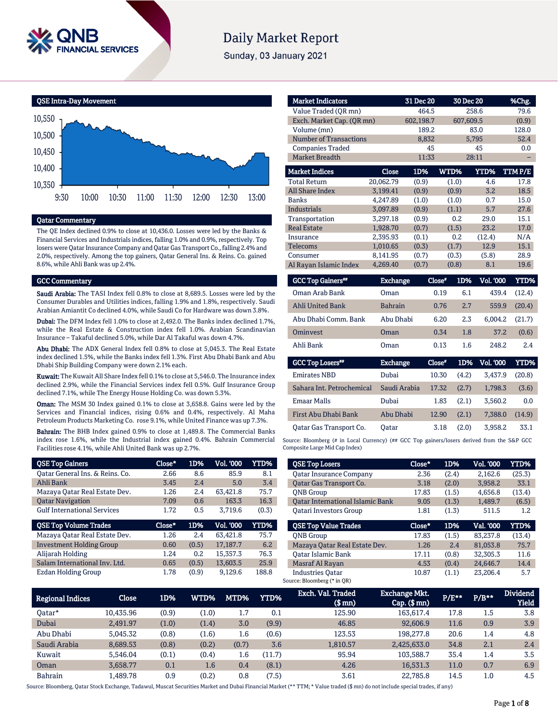

# **Daily Market Report**

Sunday, 03 January 2021



#### Qatar Commentary

The QE Index declined 0.9% to close at 10,436.0. Losses were led by the Banks & Financial Services and Industrials indices, falling 1.0% and 0.9%, respectively. Top losers were Qatar Insurance Company and Qatar Gas Transport Co., falling 2.4% and 2.0%, respectively. Among the top gainers, Qatar General Ins. & Reins. Co. gained 8.6%, while Ahli Bank was up 2.4%.

#### GCC Commentary

Saudi Arabia: The TASI Index fell 0.8% to close at 8,689.5. Losses were led by the Consumer Durables and Utilities indices, falling 1.9% and 1.8%, respectively. Saudi Arabian Amiantit Co declined 4.0%, while Saudi Co for Hardware was down 3.8%.

Dubai: The DFM Index fell 1.0% to close at 2,492.0. The Banks index declined 1.7%, while the Real Estate & Construction index fell 1.0%. Arabian Scandinavian Insurance – Takaful declined 5.0%, while Dar Al Takaful was down 4.7%.

Abu Dhabi: The ADX General Index fell 0.8% to close at 5,045.3. The Real Estate index declined 1.5%, while the Banks index fell 1.3%. First Abu Dhabi Bank and Abu Dhabi Ship Building Company were down 2.1% each.

Kuwait: The Kuwait All Share Index fell 0.1% to close at 5,546.0. The Insurance index declined 2.9%, while the Financial Services index fell 0.5%. Gulf Insurance Group declined 7.1%, while The Energy House Holding Co. was down 5.3%.

Oman: The MSM 30 Index gained 0.1% to close at 3,658.8. Gains were led by the Services and Financial indices, rising 0.6% and 0.4%, respectively. Al Maha Petroleum Products Marketing Co. rose 9.1%, while United Finance was up 7.3%.

Bahrain: The BHB Index gained 0.9% to close at 1,489.8. The Commercial Banks index rose 1.6%, while the Industrial index gained 0.4%. Bahrain Commercial Facilities rose 4.1%, while Ahli United Bank was up 2.7%.

| <b>QSE Top Gainers</b>             | Close* | 1D%   | Vol. '000 | YTD%  |
|------------------------------------|--------|-------|-----------|-------|
| Oatar General Ins. & Reins. Co.    | 2.66   | 8.6   | 85.9      | 8.1   |
| Ahli Bank                          | 3.45   | 2.4   | 5.0       | 3.4   |
| Mazaya Oatar Real Estate Dev.      | 1.26   | 2.4   | 63.421.8  | 75.7  |
| <b>Qatar Navigation</b>            | 7.09   | 0.6   | 163.3     | 16.3  |
| <b>Gulf International Services</b> | 1.72   | 0.5   | 3.719.6   | (0.3) |
|                                    |        |       |           |       |
| <b>QSE Top Volume Trades</b>       | Close* | 1D%   | Vol. '000 | YTD%  |
| Mazaya Qatar Real Estate Dev.      | 1.26   | 2.4   | 63,421.8  | 75.7  |
| <b>Investment Holding Group</b>    | 0.60   | (0.5) | 17.187.7  | 6.2   |
| Alijarah Holding                   | 1.24   | 0.2   | 15.357.3  | 76.3  |
| Salam International Inv. Ltd.      | 0.65   | (0.5) | 13.603.5  | 25.9  |

| <b>Market Indicators</b>      |                 | 31 Dec 20 | 30 Dec 20     |                  | %Chg.       |
|-------------------------------|-----------------|-----------|---------------|------------------|-------------|
| Value Traded (OR mn)          |                 | 464.5     |               | 258.6            | 79.6        |
| Exch. Market Cap. (QR mn)     |                 | 602,198.7 | 607,609.5     |                  | (0.9)       |
| Volume (mn)                   |                 | 189.2     |               | 83.0             | 128.0       |
| <b>Number of Transactions</b> |                 | 8,832     |               | 5,795            | 52.4        |
| <b>Companies Traded</b>       |                 | 45        |               | 45               | 0.0         |
| <b>Market Breadth</b>         |                 | 11:33     |               | 28:11            |             |
| <b>Market Indices</b>         | Close           | 1D%       | WTD%          | <b>YTD%</b>      | TTMP/E      |
| <b>Total Return</b>           | 20,062.79       | (0.9)     | (1.0)         | 4.6              | 17.8        |
| <b>All Share Index</b>        | 3.199.41        | (0.9)     | (0.9)         | 3.2              | 18.5        |
| <b>Banks</b>                  | 4,247.89        | (1.0)     | (1.0)         | 0.7              | 15.0        |
| <b>Industrials</b>            | 3,097.89        | (0.9)     | (1.1)         | 5.7              | 27.6        |
| Transportation                | 3,297.18        | (0.9)     | 0.2           | 29.0             | 15.1        |
| <b>Real Estate</b>            | 1,928.70        | (0.7)     | (1.5)         | 23.2             | 17.0        |
| Insurance                     | 2,395.93        | (0.1)     | 0.2           | (12.4)           | N/A         |
| Telecoms                      | 1,010.65        | (0.3)     | (1.7)         | 12.9             | 15.1        |
| Consumer                      | 8,141.95        | (0.7)     | (0.3)         | (5.8)            | 28.9        |
| Al Rayan Islamic Index        | 4,269.40        | (0.7)     | (0.8)         | 8.1              | 19.6        |
| <b>GCC Top Gainers</b> "      | <b>Exchange</b> |           | Close*<br>1D% | <b>Vol. '000</b> | <b>YTD%</b> |

| <b>OCC TOD GALLETS</b>  | ехспанце        | <b>Liuse</b> | LU70. | vol. voo         | 1 1 1 70 I |
|-------------------------|-----------------|--------------|-------|------------------|------------|
| Oman Arab Bank          | Oman            | 0.19         | 6.1   | 439.4            | (12.4)     |
| <b>Ahli United Bank</b> | <b>Bahrain</b>  | 0.76         | 2.7   | 559.9            | (20.4)     |
| Abu Dhabi Comm. Bank    | Abu Dhabi       | 6.20         | 2.3   | 6.004.2          | (21.7)     |
| Ominyest                | Oman            | 0.34         | 1.8   | 37.2             | (0.6)      |
| Ahli Bank               | Oman            | 0.13         | 1.6   | 248.2            | 2.4        |
| <b>GCC Top Losers##</b> | <b>Exchange</b> | Close*       | 1D%   | <b>Vol. '000</b> | YTD%       |
|                         |                 |              |       |                  |            |

| <u>-----------</u>        | _______      |       |       |         |        |
|---------------------------|--------------|-------|-------|---------|--------|
| <b>Emirates NBD</b>       | Dubai        | 10.30 | (4.2) | 3.437.9 | (20.8) |
| Sahara Int. Petrochemical | Saudi Arabia | 17.32 | (2.7) | 1.798.3 | (3.6)  |
| <b>Emaar Malls</b>        | Dubai        | 1.83  | (2.1) | 3.560.2 | 0.0    |
| First Abu Dhabi Bank      | Abu Dhabi    | 12.90 | (2.1) | 7.388.0 | (14.9) |
| Qatar Gas Transport Co.   | Oatar        | 3.18  | (2.0) | 3,958.2 | 33.1   |

Source: Bloomberg (# in Local Currency) (## GCC Top gainers/losers derived from the S&P GCC Composite Large Mid Cap Index)

| <b>QSE Top Losers</b>                   | Close* | 1D%   | <b>Vol. '000</b> | YTD%        |
|-----------------------------------------|--------|-------|------------------|-------------|
| <b>Qatar Insurance Company</b>          | 2.36   | (2.4) | 2,162.6          | (25.3)      |
| Oatar Gas Transport Co.                 | 3.18   | (2.0) | 3.958.2          | 33.1        |
| <b>ONB</b> Group                        | 17.83  | (1.5) | 4.656.8          | (13.4)      |
| <b>Oatar International Islamic Bank</b> | 9.05   | (1.3) | 1,489.7          | (6.5)       |
| <b>Oatari Investors Group</b>           | 1.81   | (1.3) | 511.5            | $1.2\,$     |
| <b>OSE Top Value Trades</b>             | Close* | 1D%   | Val. '000        | <b>YTD%</b> |
|                                         |        |       |                  |             |
| <b>ONB</b> Group                        | 17.83  | (1.5) | 83.237.8         | (13.4)      |
| Mazaya Qatar Real Estate Dev.           | 1.26   | 2.4   | 81,053.8         | 75.7        |
| Oatar Islamic Bank                      | 17.11  | (0.8) | 32.305.3         | 11.6        |
| Masraf Al Rayan                         | 4.53   | (0.4) | 24.646.7         | 14.4        |

| <b>Regional Indices</b> | <b>Close</b> | 1D%   | <b>WTD%</b> | MTD%  | YTD%   | Exch. Val. Traded<br>$$$ mm $)$ | <b>Exchange Mkt.</b><br>$Cap.$ $(\$$ mn) | $P/E***$ | $P/B**$ | <b>Dividend</b><br><b>Yield</b> |
|-------------------------|--------------|-------|-------------|-------|--------|---------------------------------|------------------------------------------|----------|---------|---------------------------------|
| 0atar*                  | 10.435.96    | (0.9) | (1.0)       | 1.7   | 0.1    | 125.90                          | 163,617.4                                | 17.8     | 1.5     | 3.8                             |
| Dubai                   | 2,491.97     | (1.0) | (1.4)       | 3.0   | (9.9)  | 46.85                           | 92,606.9                                 | 11.6     | 0.9     | 3.9                             |
| Abu Dhabi               | 5.045.32     | (0.8) | (1.6)       | 1.6   | (0.6)  | 123.53                          | 198,277.8                                | 20.6     | 1.4     | 4.8                             |
| Saudi Arabia            | 8,689.53     | (0.8) | (0.2)       | (0.7) | 3.6    | 1,810.57                        | 2,425,633.0                              | 34.8     | 2.1     | 2.4                             |
| Kuwait                  | 5.546.04     | (0.1) | (0.4)       | 1.6   | (11.7) | 95.94                           | 103.588.7                                | 35.4     | 1.4     | 3.5                             |
| Oman                    | 3.658.77     | 0.1   | 1.6         | 0.4   | (8.1)  | 4.26                            | 16,531.3                                 | 11.0     | 0.7     | 6.9                             |
| <b>Bahrain</b>          | l,489.78     | 0.9   | (0.2)       | 0.8   | (7.5)  | 3.61                            | 22.785.8                                 | 14.5     | 1.0     | 4.5                             |

Source: Bloomberg, Qatar Stock Exchange, Tadawul, Muscat Securities Market and Dubai Financial Market (\*\* TTM; \* Value traded (\$ mn) do not include special trades, if any)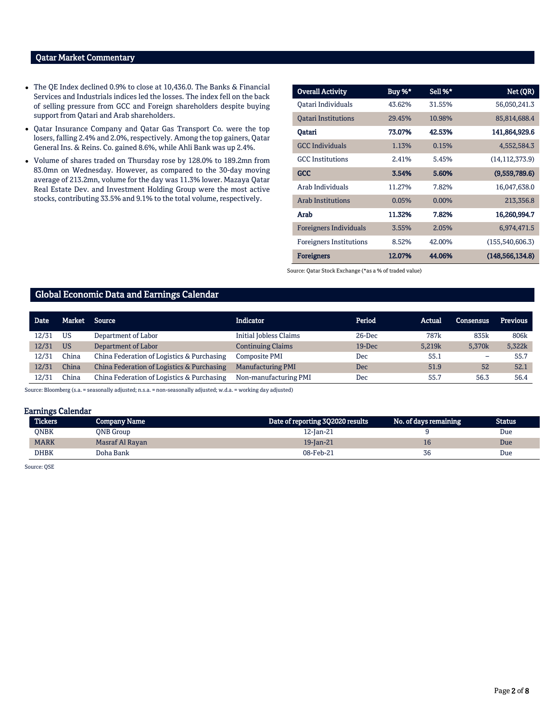# Qatar Market Commentary

- The QE Index declined 0.9% to close at 10,436.0. The Banks & Financial Services and Industrials indices led the losses. The index fell on the back of selling pressure from GCC and Foreign shareholders despite buying support from Qatari and Arab shareholders.
- Qatar Insurance Company and Qatar Gas Transport Co. were the top losers, falling 2.4% and 2.0%, respectively. Among the top gainers, Qatar General Ins. & Reins. Co. gained 8.6%, while Ahli Bank was up 2.4%.
- Volume of shares traded on Thursday rose by 128.0% to 189.2mn from 83.0mn on Wednesday. However, as compared to the 30-day moving average of 213.2mn, volume for the day was 11.3% lower. Mazaya Qatar Real Estate Dev. and Investment Holding Group were the most active stocks, contributing 33.5% and 9.1% to the total volume, respectively.

| <b>Overall Activity</b>        | Buy %* | Sell %*  | Net (QR)          |
|--------------------------------|--------|----------|-------------------|
| Oatari Individuals             | 43.62% | 31.55%   | 56,050,241.3      |
| <b>Oatari Institutions</b>     | 29.45% | 10.98%   | 85,814,688.4      |
| Oatari                         | 73.07% | 42.53%   | 141,864,929.6     |
| <b>GCC</b> Individuals         | 1.13%  | 0.15%    | 4,552,584.3       |
| <b>GCC</b> Institutions        | 2.41%  | 5.45%    | (14, 112, 373.9)  |
| <b>GCC</b>                     | 3.54%  | 5.60%    | (9,559,789.6)     |
| Arab Individuals               | 11.27% | 7.82%    | 16,047,638.0      |
| <b>Arab Institutions</b>       | 0.05%  | $0.00\%$ | 213,356.8         |
| Arab                           | 11.32% | 7.82%    | 16,260,994.7      |
| Foreigners Individuals         | 3.55%  | 2.05%    | 6,974,471.5       |
| <b>Foreigners Institutions</b> | 8.52%  | 42.00%   | (155, 540, 606.3) |
| <b>Foreigners</b>              | 12.07% | 44.06%   | (148, 566, 134.8) |

Source: Qatar Stock Exchange (\*as a % of traded value)

#### Global Economic Data and Earnings Calendar

| <b>Date</b> | Market    | Source                                     | Indicator                | Period   | Actual           | Consensus          | <b>Previous</b> |
|-------------|-----------|--------------------------------------------|--------------------------|----------|------------------|--------------------|-----------------|
| 12/31       | US        | Department of Labor                        | Initial Jobless Claims   | 26-Dec   | 787 <sub>k</sub> | 835k               | 806k            |
| 12/31       | <b>US</b> | Department of Labor                        | <b>Continuing Claims</b> | $19-Dec$ | 5.219k           | 5,370 <sub>k</sub> | 5,322k          |
| 12/31       | China     | China Federation of Logistics & Purchasing | Composite PMI            | Dec      | 55.1             |                    | 55.7            |
| 12/31       | China     | China Federation of Logistics & Purchasing | Manufacturing PMI        | Dec.     | 51.9             | 52                 | 52.1            |
| 12/31       | China     | China Federation of Logistics & Purchasing | Non-manufacturing PMI    | Dec      | 55.7             | 56.3               | 56.4            |

Source: Bloomberg (s.a. = seasonally adjusted; n.s.a. = non-seasonally adjusted; w.d.a. = working day adjusted)

#### Earnings Calendar

| <b>Tickers</b> | Company Name     | Date of reporting 3Q2020 results | No. of days remaining | <b>Status</b> |
|----------------|------------------|----------------------------------|-----------------------|---------------|
| ONBK           | <b>ONB</b> Group | 12-Jan-21                        |                       | Due           |
| <b>MARK</b>    | Masraf Al Rayan  | 19-Jan-21                        |                       | Due           |
| DHBK           | Doha Bank        | 08-Feb-21                        | 36                    | Due           |

Source: QSE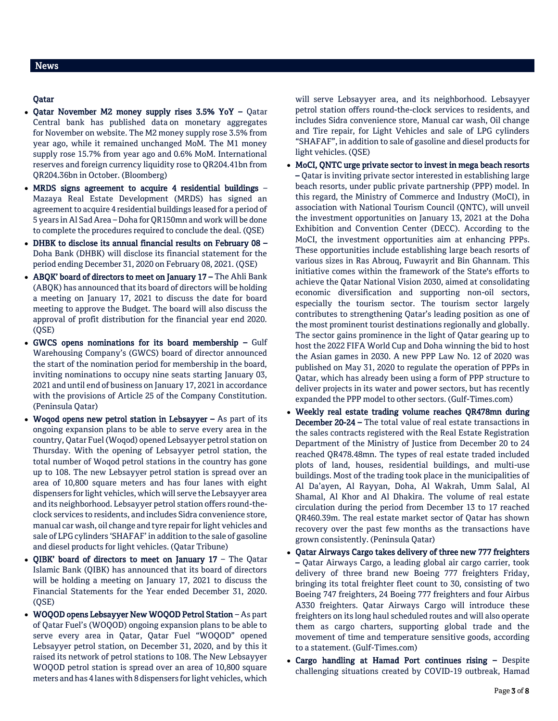### Qatar

- Qatar November M2 money supply rises 3.5% YoY Qatar Central bank has published data on monetary aggregates for November on website. The M2 money supply rose 3.5% from year ago, while it remained unchanged MoM. The M1 money supply rose 15.7% from year ago and 0.6% MoM. International reserves and foreign currency liquidity rose to QR204.41bn from QR204.36bn in October. (Bloomberg)
- MRDS signs agreement to acquire 4 residential buildings Mazaya Real Estate Development (MRDS) has signed an agreement to acquire 4 residential buildings leased for a period of 5 years in Al Sad Area – Doha for QR150mn and work will be done to complete the procedures required to conclude the deal. (QSE)
- DHBK to disclose its annual financial results on February 08 Doha Bank (DHBK) will disclose its financial statement for the period ending December 31, 2020 on February 08, 2021. (QSE)
- ABQK' board of directors to meet on January 17 The Ahli Bank (ABQK) has announced that its board of directors will be holding a meeting on January 17, 2021 to discuss the date for board meeting to approve the Budget. The board will also discuss the approval of profit distribution for the financial year end 2020. (QSE)
- GWCS opens nominations for its board membership Gulf Warehousing Company's (GWCS) board of director announced the start of the nomination period for membership in the board, inviting nominations to occupy nine seats starting January 03, 2021 and until end of business on January 17, 2021 in accordance with the provisions of Article 25 of the Company Constitution. (Peninsula Qatar)
- Woqod opens new petrol station in Lebsayyer As part of its ongoing expansion plans to be able to serve every area in the country, Qatar Fuel (Woqod) opened Lebsayyer petrol station on Thursday. With the opening of Lebsayyer petrol station, the total number of Woqod petrol stations in the country has gone up to 108. The new Lebsayyer petrol station is spread over an area of 10,800 square meters and has four lanes with eight dispensers for light vehicles, which will serve the Lebsayyer area and its neighborhood. Lebsayyer petrol station offers round-theclock services to residents, and includes Sidra convenience store, manual car wash, oil change and tyre repair for light vehicles and sale of LPG cylinders 'SHAFAF' in addition to the sale of gasoline and diesel products for light vehicles. (Qatar Tribune)
- QIBK' board of directors to meet on January  $17$  The Qatar Islamic Bank (QIBK) has announced that its board of directors will be holding a meeting on January 17, 2021 to discuss the Financial Statements for the Year ended December 31, 2020. (QSE)
- WOQOD opens Lebsayyer New WOQOD Petrol Station As part of Qatar Fuel's (WOQOD) ongoing expansion plans to be able to serve every area in Qatar, Qatar Fuel "WOQOD" opened Lebsayyer petrol station, on December 31, 2020, and by this it raised its network of petrol stations to 108. The New Lebsayyer WOQOD petrol station is spread over an area of 10,800 square meters and has 4 lanes with 8 dispensers for light vehicles, which

will serve Lebsayyer area, and its neighborhood. Lebsayyer petrol station offers round-the-clock services to residents, and includes Sidra convenience store, Manual car wash, Oil change and Tire repair, for Light Vehicles and sale of LPG cylinders "SHAFAF", in addition to sale of gasoline and diesel products for light vehicles. (QSE)

- MoCI, QNTC urge private sector to invest in mega beach resorts – Qatar is inviting private sector interested in establishing large beach resorts, under public private partnership (PPP) model. In this regard, the Ministry of Commerce and Industry (MoCI), in association with National Tourism Council (QNTC), will unveil the investment opportunities on January 13, 2021 at the Doha Exhibition and Convention Center (DECC). According to the MoCI, the investment opportunities aim at enhancing PPPs. These opportunities include establishing large beach resorts of various sizes in Ras Abrouq, Fuwayrit and Bin Ghannam. This initiative comes within the framework of the State's efforts to achieve the Qatar National Vision 2030, aimed at consolidating economic diversification and supporting non-oil sectors, especially the tourism sector. The tourism sector largely contributes to strengthening Qatar's leading position as one of the most prominent tourist destinations regionally and globally. The sector gains prominence in the light of Qatar gearing up to host the 2022 FIFA World Cup and Doha winning the bid to host the Asian games in 2030. A new PPP Law No. 12 of 2020 was published on May 31, 2020 to regulate the operation of PPPs in Qatar, which has already been using a form of PPP structure to deliver projects in its water and power sectors, but has recently expanded the PPP model to other sectors. (Gulf-Times.com)
- Weekly real estate trading volume reaches QR478mn during December 20-24 – The total value of real estate transactions in the sales contracts registered with the Real Estate Registration Department of the Ministry of Justice from December 20 to 24 reached QR478.48mn. The types of real estate traded included plots of land, houses, residential buildings, and multi-use buildings. Most of the trading took place in the municipalities of Al Da'ayen, Al Rayyan, Doha, Al Wakrah, Umm Salal, Al Shamal, Al Khor and Al Dhakira. The volume of real estate circulation during the period from December 13 to 17 reached QR460.39m. The real estate market sector of Qatar has shown recovery over the past few months as the transactions have grown consistently. (Peninsula Qatar)
- Qatar Airways Cargo takes delivery of three new 777 freighters – Qatar Airways Cargo, a leading global air cargo carrier, took delivery of three brand new Boeing 777 freighters Friday, bringing its total freighter fleet count to 30, consisting of two Boeing 747 freighters, 24 Boeing 777 freighters and four Airbus A330 freighters. Qatar Airways Cargo will introduce these freighters on its long haul scheduled routes and will also operate them as cargo charters, supporting global trade and the movement of time and temperature sensitive goods, according to a statement. (Gulf-Times.com)
- Cargo handling at Hamad Port continues rising Despite challenging situations created by COVID-19 outbreak, Hamad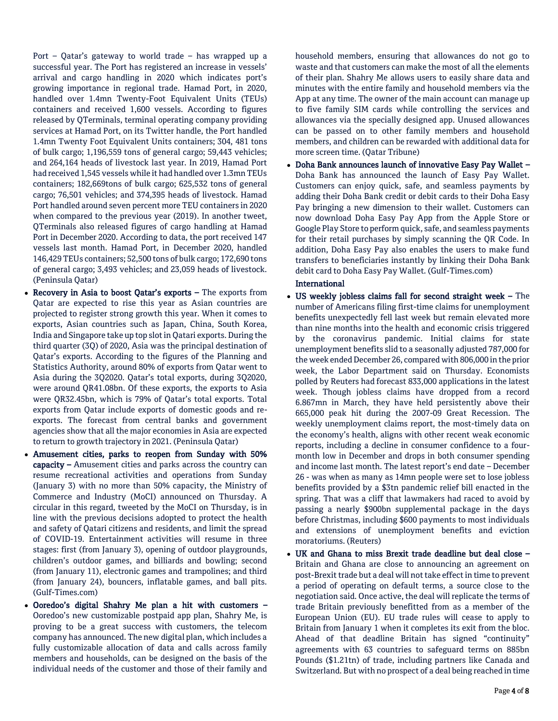Port – Qatar's gateway to world trade – has wrapped up a successful year. The Port has registered an increase in vessels' arrival and cargo handling in 2020 which indicates port's growing importance in regional trade. Hamad Port, in 2020, handled over 1.4mn Twenty-Foot Equivalent Units (TEUs) containers and received 1,600 vessels. According to figures released by QTerminals, terminal operating company providing services at Hamad Port, on its Twitter handle, the Port handled 1.4mn Twenty Foot Equivalent Units containers; 304, 481 tons of bulk cargo; 1,196,559 tons of general cargo; 59,443 vehicles; and 264,164 heads of livestock last year. In 2019, Hamad Port had received 1,545 vessels while it had handled over 1.3mn TEUs containers; 182,669tons of bulk cargo; 625,532 tons of general cargo; 76,501 vehicles; and 374,395 heads of livestock. Hamad Port handled around seven percent more TEU containers in 2020 when compared to the previous year (2019). In another tweet, QTerminals also released figures of cargo handling at Hamad Port in December 2020. According to data, the port received 147 vessels last month. Hamad Port, in December 2020, handled 146,429 TEUs containers; 52,500 tons of bulk cargo; 172,690 tons of general cargo; 3,493 vehicles; and 23,059 heads of livestock. (Peninsula Qatar)

- Recovery in Asia to boost Qatar's exports The exports from Qatar are expected to rise this year as Asian countries are projected to register strong growth this year. When it comes to exports, Asian countries such as Japan, China, South Korea, India and Singapore take up top slot in Qatari exports. During the third quarter (3Q) of 2020, Asia was the principal destination of Qatar's exports. According to the figures of the Planning and Statistics Authority, around 80% of exports from Qatar went to Asia during the 3Q2020. Qatar's total exports, during 3Q2020, were around QR41.08bn. Of these exports, the exports to Asia were QR32.45bn, which is 79% of Qatar's total exports. Total exports from Qatar include exports of domestic goods and reexports. The forecast from central banks and government agencies show that all the major economies in Asia are expected to return to growth trajectory in 2021. (Peninsula Qatar)
- Amusement cities, parks to reopen from Sunday with 50% capacity - Amusement cities and parks across the country can resume recreational activities and operations from Sunday (January 3) with no more than 50% capacity, the Ministry of Commerce and Industry (MoCI) announced on Thursday. A circular in this regard, tweeted by the MoCI on Thursday, is in line with the previous decisions adopted to protect the health and safety of Qatari citizens and residents, and limit the spread of COVID-19. Entertainment activities will resume in three stages: first (from January 3), opening of outdoor playgrounds, children's outdoor games, and billiards and bowling; second (from January 11), electronic games and trampolines; and third (from January 24), bouncers, inflatable games, and ball pits. (Gulf-Times.com)
- Ooredoo's digital Shahry Me plan a hit with customers Ooredoo's new customizable postpaid app plan, Shahry Me, is proving to be a great success with customers, the telecom company has announced. The new digital plan, which includes a fully customizable allocation of data and calls across family members and households, can be designed on the basis of the individual needs of the customer and those of their family and

household members, ensuring that allowances do not go to waste and that customers can make the most of all the elements of their plan. Shahry Me allows users to easily share data and minutes with the entire family and household members via the App at any time. The owner of the main account can manage up to five family SIM cards while controlling the services and allowances via the specially designed app. Unused allowances can be passed on to other family members and household members, and children can be rewarded with additional data for more screen time. (Qatar Tribune)

 Doha Bank announces launch of innovative Easy Pay Wallet – Doha Bank has announced the launch of Easy Pay Wallet. Customers can enjoy quick, safe, and seamless payments by adding their Doha Bank credit or debit cards to their Doha Easy Pay bringing a new dimension to their wallet. Customers can now download Doha Easy Pay App from the Apple Store or Google Play Store to perform quick, safe, and seamless payments for their retail purchases by simply scanning the QR Code. In addition, Doha Easy Pay also enables the users to make fund transfers to beneficiaries instantly by linking their Doha Bank debit card to Doha Easy Pay Wallet. (Gulf-Times.com)

# International

- US weekly jobless claims fall for second straight week The number of Americans filing first-time claims for unemployment benefits unexpectedly fell last week but remain elevated more than nine months into the health and economic crisis triggered by the coronavirus pandemic. Initial claims for state unemployment benefits slid to a seasonally adjusted 787,000 for the week ended December 26, compared with 806,000 in the prior week, the Labor Department said on Thursday. Economists polled by Reuters had forecast 833,000 applications in the latest week. Though jobless claims have dropped from a record 6.867mn in March, they have held persistently above their 665,000 peak hit during the 2007-09 Great Recession. The weekly unemployment claims report, the most-timely data on the economy's health, aligns with other recent weak economic reports, including a decline in consumer confidence to a fourmonth low in December and drops in both consumer spending and income last month. The latest report's end date – December 26 - was when as many as 14mn people were set to lose jobless benefits provided by a \$3tn pandemic relief bill enacted in the spring. That was a cliff that lawmakers had raced to avoid by passing a nearly \$900bn supplemental package in the days before Christmas, including \$600 payments to most individuals and extensions of unemployment benefits and eviction moratoriums. (Reuters)
- UK and Ghana to miss Brexit trade deadline but deal close Britain and Ghana are close to announcing an agreement on post-Brexit trade but a deal will not take effect in time to prevent a period of operating on default terms, a source close to the negotiation said. Once active, the deal will replicate the terms of trade Britain previously benefitted from as a member of the European Union (EU). EU trade rules will cease to apply to Britain from January 1 when it completes its exit from the bloc. Ahead of that deadline Britain has signed "continuity" agreements with 63 countries to safeguard terms on 885bn Pounds (\$1.21tn) of trade, including partners like Canada and Switzerland. But with no prospect of a deal being reached in time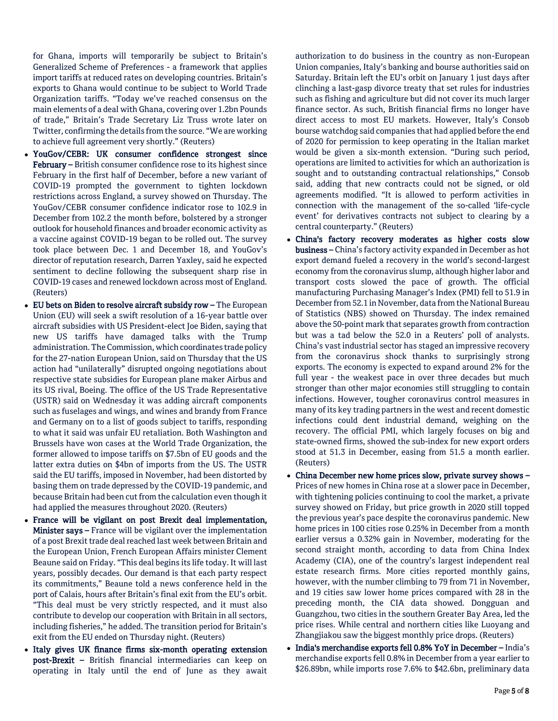for Ghana, imports will temporarily be subject to Britain's Generalized Scheme of Preferences - a framework that applies import tariffs at reduced rates on developing countries. Britain's exports to Ghana would continue to be subject to World Trade Organization tariffs. "Today we've reached consensus on the main elements of a deal with Ghana, covering over 1.2bn Pounds of trade," Britain's Trade Secretary Liz Truss wrote later on Twitter, confirming the details from the source. "We are working to achieve full agreement very shortly." (Reuters)

- YouGov/CEBR: UK consumer confidence strongest since February – British consumer confidence rose to its highest since February in the first half of December, before a new variant of COVID-19 prompted the government to tighten lockdown restrictions across England, a survey showed on Thursday. The YouGov/CEBR consumer confidence indicator rose to 102.9 in December from 102.2 the month before, bolstered by a stronger outlook for household finances and broader economic activity as a vaccine against COVID-19 began to be rolled out. The survey took place between Dec. 1 and December 18, and YouGov's director of reputation research, Darren Yaxley, said he expected sentiment to decline following the subsequent sharp rise in COVID-19 cases and renewed lockdown across most of England. (Reuters)
- EU bets on Biden to resolve aircraft subsidy row The European Union (EU) will seek a swift resolution of a 16-year battle over aircraft subsidies with US President-elect Joe Biden, saying that new US tariffs have damaged talks with the Trump administration. The Commission, which coordinates trade policy for the 27-nation European Union, said on Thursday that the US action had "unilaterally" disrupted ongoing negotiations about respective state subsidies for European plane maker Airbus and its US rival, Boeing. The office of the US Trade Representative (USTR) said on Wednesday it was adding aircraft components such as fuselages and wings, and wines and brandy from France and Germany on to a list of goods subject to tariffs, responding to what it said was unfair EU retaliation. Both Washington and Brussels have won cases at the World Trade Organization, the former allowed to impose tariffs on \$7.5bn of EU goods and the latter extra duties on \$4bn of imports from the US. The USTR said the EU tariffs, imposed in November, had been distorted by basing them on trade depressed by the COVID-19 pandemic, and because Britain had been cut from the calculation even though it had applied the measures throughout 2020. (Reuters)
- France will be vigilant on post Brexit deal implementation, Minister says – France will be vigilant over the implementation of a post Brexit trade deal reached last week between Britain and the European Union, French European Affairs minister Clement Beaune said on Friday. "This deal begins its life today. It will last years, possibly decades. Our demand is that each party respect its commitments," Beaune told a news conference held in the port of Calais, hours after Britain's final exit from the EU's orbit. "This deal must be very strictly respected, and it must also contribute to develop our cooperation with Britain in all sectors, including fisheries," he added. The transition period for Britain's exit from the EU ended on Thursday night. (Reuters)
- Italy gives UK finance firms six-month operating extension post-Brexit – British financial intermediaries can keep on operating in Italy until the end of June as they await

authorization to do business in the country as non-European Union companies, Italy's banking and bourse authorities said on Saturday. Britain left the EU's orbit on January 1 just days after clinching a last-gasp divorce treaty that set rules for industries such as fishing and agriculture but did not cover its much larger finance sector. As such, British financial firms no longer have direct access to most EU markets. However, Italy's Consob bourse watchdog said companies that had applied before the end of 2020 for permission to keep operating in the Italian market would be given a six-month extension. "During such period, operations are limited to activities for which an authorization is sought and to outstanding contractual relationships," Consob said, adding that new contracts could not be signed, or old agreements modified. "It is allowed to perform activities in connection with the management of the so-called 'life-cycle event' for derivatives contracts not subject to clearing by a central counterparty." (Reuters)

- China's factory recovery moderates as higher costs slow business – China's factory activity expanded in December as hot export demand fueled a recovery in the world's second-largest economy from the coronavirus slump, although higher labor and transport costs slowed the pace of growth. The official manufacturing Purchasing Manager's Index (PMI) fell to 51.9 in December from 52.1 in November, data from the National Bureau of Statistics (NBS) showed on Thursday. The index remained above the 50-point mark that separates growth from contraction but was a tad below the 52.0 in a Reuters' poll of analysts. China's vast industrial sector has staged an impressive recovery from the coronavirus shock thanks to surprisingly strong exports. The economy is expected to expand around 2% for the full year - the weakest pace in over three decades but much stronger than other major economies still struggling to contain infections. However, tougher coronavirus control measures in many of its key trading partners in the west and recent domestic infections could dent industrial demand, weighing on the recovery. The official PMI, which largely focuses on big and state-owned firms, showed the sub-index for new export orders stood at 51.3 in December, easing from 51.5 a month earlier. (Reuters)
- China December new home prices slow, private survey shows Prices of new homes in China rose at a slower pace in December, with tightening policies continuing to cool the market, a private survey showed on Friday, but price growth in 2020 still topped the previous year's pace despite the coronavirus pandemic. New home prices in 100 cities rose 0.25% in December from a month earlier versus a 0.32% gain in November, moderating for the second straight month, according to data from China Index Academy (CIA), one of the country's largest independent real estate research firms. More cities reported monthly gains, however, with the number climbing to 79 from 71 in November, and 19 cities saw lower home prices compared with 28 in the preceding month, the CIA data showed. Dongguan and Guangzhou, two cities in the southern Greater Bay Area, led the price rises. While central and northern cities like Luoyang and Zhangjiakou saw the biggest monthly price drops. (Reuters)
- India's merchandise exports fell 0.8% YoY in December India's merchandise exports fell 0.8% in December from a year earlier to \$26.89bn, while imports rose 7.6% to \$42.6bn, preliminary data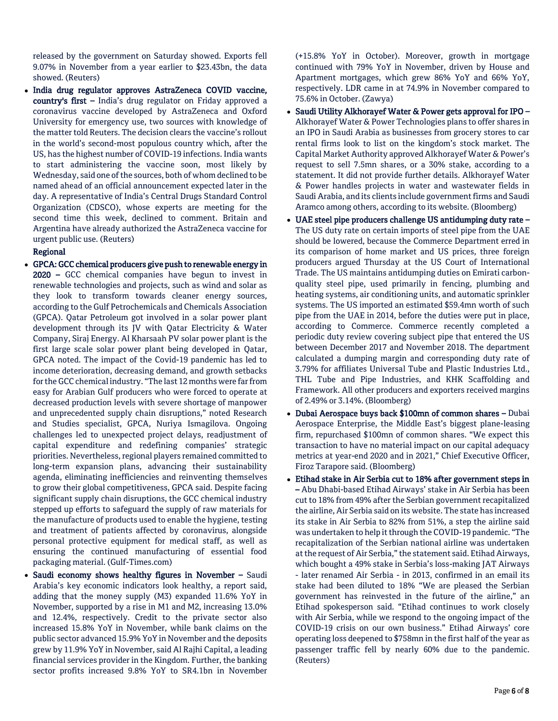released by the government on Saturday showed. Exports fell 9.07% in November from a year earlier to \$23.43bn, the data showed. (Reuters)

 India drug regulator approves AstraZeneca COVID vaccine, country's first – India's drug regulator on Friday approved a coronavirus vaccine developed by AstraZeneca and Oxford University for emergency use, two sources with knowledge of the matter told Reuters. The decision clears the vaccine's rollout in the world's second-most populous country which, after the US, has the highest number of COVID-19 infections. India wants to start administering the vaccine soon, most likely by Wednesday, said one of the sources, both of whom declined to be named ahead of an official announcement expected later in the day. A representative of India's Central Drugs Standard Control Organization (CDSCO), whose experts are meeting for the second time this week, declined to comment. Britain and Argentina have already authorized the AstraZeneca vaccine for urgent public use. (Reuters)

#### Regional

- GPCA: GCC chemical producers give push to renewable energy in 2020 – GCC chemical companies have begun to invest in renewable technologies and projects, such as wind and solar as they look to transform towards cleaner energy sources, according to the Gulf Petrochemicals and Chemicals Association (GPCA). Qatar Petroleum got involved in a solar power plant development through its JV with Qatar Electricity & Water Company, Siraj Energy. Al Kharsaah PV solar power plant is the first large scale solar power plant being developed in Qatar, GPCA noted. The impact of the Covid-19 pandemic has led to income deterioration, decreasing demand, and growth setbacks for the GCC chemical industry. "The last 12 months were far from easy for Arabian Gulf producers who were forced to operate at decreased production levels with severe shortage of manpower and unprecedented supply chain disruptions," noted Research and Studies specialist, GPCA, Nuriya Ismagilova. Ongoing challenges led to unexpected project delays, readjustment of capital expenditure and redefining companies' strategic priorities. Nevertheless, regional players remained committed to long-term expansion plans, advancing their sustainability agenda, eliminating inefficiencies and reinventing themselves to grow their global competitiveness, GPCA said. Despite facing significant supply chain disruptions, the GCC chemical industry stepped up efforts to safeguard the supply of raw materials for the manufacture of products used to enable the hygiene, testing and treatment of patients affected by coronavirus, alongside personal protective equipment for medical staff, as well as ensuring the continued manufacturing of essential food packaging material. (Gulf-Times.com)
- Saudi economy shows healthy figures in November Saudi Arabia's key economic indicators look healthy, a report said, adding that the money supply (M3) expanded 11.6% YoY in November, supported by a rise in M1 and M2, increasing 13.0% and 12.4%, respectively. Credit to the private sector also increased 15.8% YoY in November, while bank claims on the public sector advanced 15.9% YoY in November and the deposits grew by 11.9% YoY in November, said Al Rajhi Capital, a leading financial services provider in the Kingdom. Further, the banking sector profits increased 9.8% YoY to SR4.1bn in November

(+15.8% YoY in October). Moreover, growth in mortgage continued with 79% YoY in November, driven by House and Apartment mortgages, which grew 86% YoY and 66% YoY, respectively. LDR came in at 74.9% in November compared to 75.6% in October. (Zawya)

- Saudi Utility Alkhorayef Water & Power gets approval for IPO Alkhorayef Water & Power Technologies plans to offer shares in an IPO in Saudi Arabia as businesses from grocery stores to car rental firms look to list on the kingdom's stock market. The Capital Market Authority approved Alkhorayef Water & Power's request to sell 7.5mn shares, or a 30% stake, according to a statement. It did not provide further details. Alkhorayef Water & Power handles projects in water and wastewater fields in Saudi Arabia, and its clients include government firms and Saudi Aramco among others, according to its website. (Bloomberg)
- UAE steel pipe producers challenge US antidumping duty rate The US duty rate on certain imports of steel pipe from the UAE should be lowered, because the Commerce Department erred in its comparison of home market and US prices, three foreign producers argued Thursday at the US Court of International Trade. The US maintains antidumping duties on Emirati carbonquality steel pipe, used primarily in fencing, plumbing and heating systems, air conditioning units, and automatic sprinkler systems. The US imported an estimated \$59.4mn worth of such pipe from the UAE in 2014, before the duties were put in place, according to Commerce. Commerce recently completed a periodic duty review covering subject pipe that entered the US between December 2017 and November 2018. The department calculated a dumping margin and corresponding duty rate of 3.79% for affiliates Universal Tube and Plastic Industries Ltd., THL Tube and Pipe Industries, and KHK Scaffolding and Framework. All other producers and exporters received margins of 2.49% or 3.14%. (Bloomberg)
- Dubai Aerospace buys back \$100mn of common shares Dubai Aerospace Enterprise, the Middle East's biggest plane-leasing firm, repurchased \$100mn of common shares. "We expect this transaction to have no material impact on our capital adequacy metrics at year-end 2020 and in 2021," Chief Executive Officer, Firoz Tarapore said. (Bloomberg)
- Etihad stake in Air Serbia cut to 18% after government steps in – Abu Dhabi-based Etihad Airways' stake in Air Serbia has been cut to 18% from 49% after the Serbian government recapitalized the airline, Air Serbia said on its website. The state has increased its stake in Air Serbia to 82% from 51%, a step the airline said was undertaken to help it through the COVID-19 pandemic. "The recapitalization of the Serbian national airline was undertaken at the request of Air Serbia," the statement said. Etihad Airways, which bought a 49% stake in Serbia's loss-making JAT Airways - later renamed Air Serbia - in 2013, confirmed in an email its stake had been diluted to 18% "We are pleased the Serbian government has reinvested in the future of the airline," an Etihad spokesperson said. "Etihad continues to work closely with Air Serbia, while we respond to the ongoing impact of the COVID-19 crisis on our own business." Etihad Airways' core operating loss deepened to \$758mn in the first half of the year as passenger traffic fell by nearly 60% due to the pandemic. (Reuters)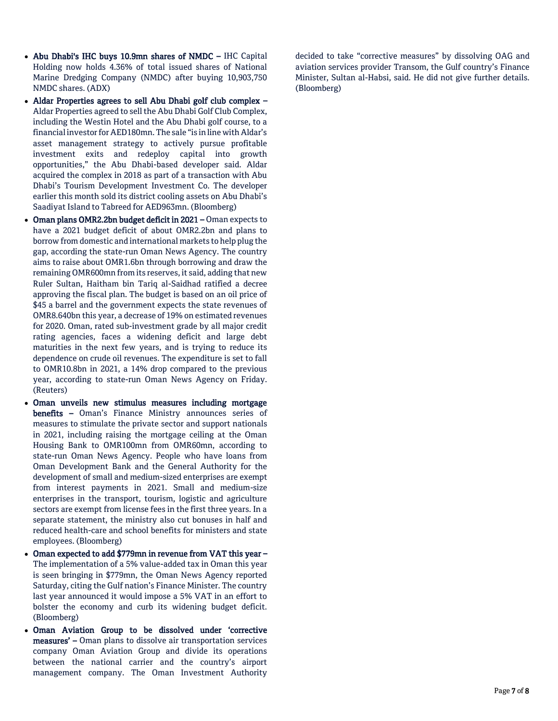- Abu Dhabi's IHC buys 10.9mn shares of NMDC IHC Capital Holding now holds 4.36% of total issued shares of National Marine Dredging Company (NMDC) after buying 10,903,750 NMDC shares. (ADX)
- Aldar Properties agrees to sell Abu Dhabi golf club complex Aldar Properties agreed to sell the Abu Dhabi Golf Club Complex, including the Westin Hotel and the Abu Dhabi golf course, to a financial investor for AED180mn. The sale "is in line with Aldar's asset management strategy to actively pursue profitable investment exits and redeploy capital into growth opportunities," the Abu Dhabi-based developer said. Aldar acquired the complex in 2018 as part of a transaction with Abu Dhabi's Tourism Development Investment Co. The developer earlier this month sold its district cooling assets on Abu Dhabi's Saadiyat Island to Tabreed for AED963mn. (Bloomberg)
- Oman plans OMR2.2bn budget deficit in 2021 Oman expects to have a 2021 budget deficit of about OMR2.2bn and plans to borrow from domestic and international markets to help plug the gap, according the state-run Oman News Agency. The country aims to raise about OMR1.6bn through borrowing and draw the remaining OMR600mn from its reserves, it said, adding that new Ruler Sultan, Haitham bin Tariq al-Saidhad ratified a decree approving the fiscal plan. The budget is based on an oil price of \$45 a barrel and the government expects the state revenues of OMR8.640bn this year, a decrease of 19% on estimated revenues for 2020. Oman, rated sub-investment grade by all major credit rating agencies, faces a widening deficit and large debt maturities in the next few years, and is trying to reduce its dependence on crude oil revenues. The expenditure is set to fall to OMR10.8bn in 2021, a 14% drop compared to the previous year, according to state-run Oman News Agency on Friday. (Reuters)
- Oman unveils new stimulus measures including mortgage benefits – Oman's Finance Ministry announces series of measures to stimulate the private sector and support nationals in 2021, including raising the mortgage ceiling at the Oman Housing Bank to OMR100mn from OMR60mn, according to state-run Oman News Agency. People who have loans from Oman Development Bank and the General Authority for the development of small and medium-sized enterprises are exempt from interest payments in 2021. Small and medium-size enterprises in the transport, tourism, logistic and agriculture sectors are exempt from license fees in the first three years. In a separate statement, the ministry also cut bonuses in half and reduced health-care and school benefits for ministers and state employees. (Bloomberg)
- Oman expected to add \$779mn in revenue from VAT this year The implementation of a 5% value-added tax in Oman this year is seen bringing in \$779mn, the Oman News Agency reported Saturday, citing the Gulf nation's Finance Minister. The country last year announced it would impose a 5% VAT in an effort to bolster the economy and curb its widening budget deficit. (Bloomberg)
- Oman Aviation Group to be dissolved under 'corrective measures' – Oman plans to dissolve air transportation services company Oman Aviation Group and divide its operations between the national carrier and the country's airport management company. The Oman Investment Authority

decided to take "corrective measures" by dissolving OAG and aviation services provider Transom, the Gulf country's Finance Minister, Sultan al-Habsi, said. He did not give further details. (Bloomberg)